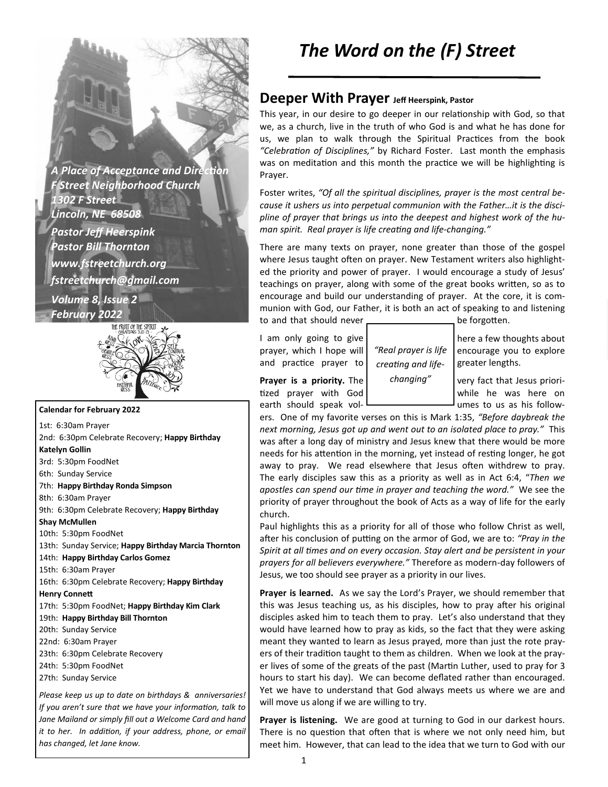**A Place of Acceptance and Direction** *F Street Neighborhood Church 1302 F Street Lincoln, NE 68508 Pastor Jeff Heerspink Pastor Bill Thornton www.fstreetchurch.org fstreetchurch@gmail.com Volume 8, Issue 2 February 2022* 



#### **Calendar for February 2022**

1st: 6:30am Prayer 2nd: 6:30pm Celebrate Recovery; **Happy Birthday Katelyn Gollin**  3rd: 5:30pm FoodNet 6th: Sunday Service 7th: **Happy Birthday Ronda Simpson**  8th: 6:30am Prayer 9th: 6:30pm Celebrate Recovery; **Happy Birthday Shay McMullen**  10th: 5:30pm FoodNet 13th: Sunday Service; **Happy Birthday Marcia Thornton**  14th: **Happy Birthday Carlos Gomez**  15th: 6:30am Prayer 16th: 6:30pm Celebrate Recovery; **Happy Birthday Henry Connett** 17th: 5:30pm FoodNet; **Happy Birthday Kim Clark**  19th: **Happy Birthday Bill Thornton**  20th: Sunday Service 22nd: 6:30am Prayer 23th: 6:30pm Celebrate Recovery 24th: 5:30pm FoodNet 27th: Sunday Service

*Please keep us up to date on birthdays & anniversaries! If you aren't sure that we have your information, talk to Jane Mailand or simply fill out a Welcome Card and hand it to her. In addition, if your address, phone, or email has changed, let Jane know.* 

# *The Word on the (F) Street*

### **Deeper With Prayer Jeff Heerspink, Pastor**

This year, in our desire to go deeper in our relationship with God, so that we, as a church, live in the truth of who God is and what he has done for us, we plan to walk through the Spiritual Practices from the book "Celebration of Disciplines," by Richard Foster. Last month the emphasis was on meditation and this month the practice we will be highlighting is Prayer.

Foster writes, *"Of all the spiritual disciplines, prayer is the most central because it ushers us into perpetual communion with the Father…it is the discipline of prayer that brings us into the deepest and highest work of the human spirit. Real prayer is life creating and life-changing."* 

There are many texts on prayer, none greater than those of the gospel where Jesus taught often on prayer. New Testament writers also highlighted the priority and power of prayer. I would encourage a study of Jesus' teachings on prayer, along with some of the great books written, so as to encourage and build our understanding of prayer. At the core, it is communion with God, our Father, it is both an act of speaking to and listening to and that should never **contained** be forgotten.

I am only going to give  $\vert$   $\vert$  here a few thoughts about prayer, which I hope will  $\int_{0}^{\infty}$   $\int_{0}^{\infty}$   $\int_{0}^{\infty}$  are incourage you to explore and practice prayer to  $\int$  creating and life- greater lengths.

*"Real prayer is life*  creating and life*changing"* 

**Prayer is a priority.** The  $\vert$  changing"  $\vert$  very fact that Jesus prioritized prayer with God while he was here on earth should speak vol- $\frac{1}{1}$  umes to us as his follow-

ers. One of my favorite verses on this is Mark 1:35, *"Before daybreak the next morning, Jesus got up and went out to an isolated place to pray."* This was after a long day of ministry and Jesus knew that there would be more needs for his attention in the morning, yet instead of resting longer, he got away to pray. We read elsewhere that Jesus often withdrew to pray. The early disciples saw this as a priority as well as in Act 6:4, "*Then we*  apostles can spend our time in prayer and teaching the word." We see the priority of prayer throughout the book of Acts as a way of life for the early church.

Paul highlights this as a priority for all of those who follow Christ as well, after his conclusion of putting on the armor of God, we are to: "Pray in the *Spirit at all mes and on every occasion. Stay alert and be persistent in your prayers for all believers everywhere."* Therefore as modern-day followers of Jesus, we too should see prayer as a priority in our lives.

**Prayer is learned.** As we say the Lord's Prayer, we should remember that this was Jesus teaching us, as his disciples, how to pray after his original disciples asked him to teach them to pray. Let's also understand that they would have learned how to pray as kids, so the fact that they were asking meant they wanted to learn as Jesus prayed, more than just the rote prayers of their tradition taught to them as children. When we look at the prayer lives of some of the greats of the past (Martin Luther, used to pray for 3 hours to start his day). We can become deflated rather than encouraged. Yet we have to understand that God always meets us where we are and will move us along if we are willing to try.

**Prayer is listening.** We are good at turning to God in our darkest hours. There is no question that often that is where we not only need him, but meet him. However, that can lead to the idea that we turn to God with our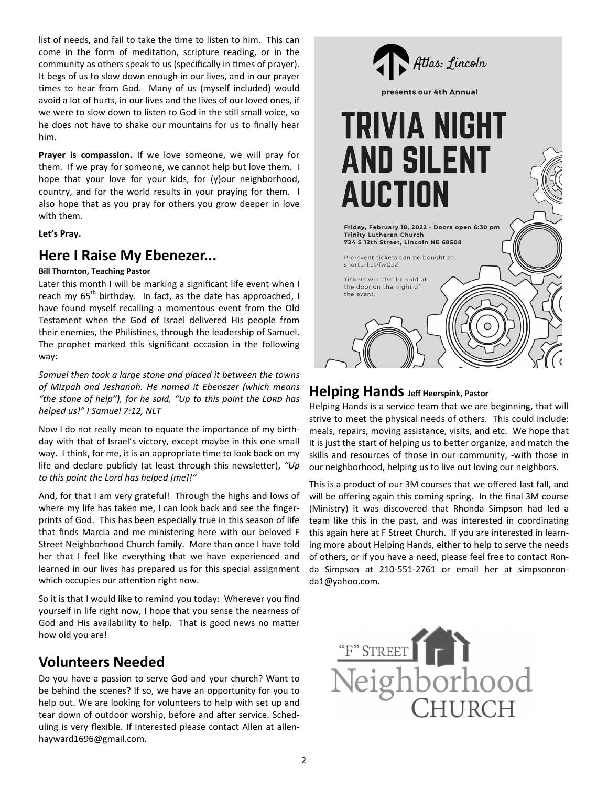list of needs, and fail to take the time to listen to him. This can come in the form of meditation, scripture reading, or in the community as others speak to us (specifically in times of prayer). It begs of us to slow down enough in our lives, and in our prayer times to hear from God. Many of us (myself included) would avoid a lot of hurts, in our lives and the lives of our loved ones, if we were to slow down to listen to God in the still small voice, so he does not have to shake our mountains for us to finally hear him.

**Prayer is compassion.** If we love someone, we will pray for them. If we pray for someone, we cannot help but love them. I hope that your love for your kids, for (y)our neighborhood, country, and for the world results in your praying for them. I also hope that as you pray for others you grow deeper in love with them.

**Let's Pray.** 

### **Here I Raise My Ebenezer...**

#### **Bill Thornton, Teaching Pastor**

Later this month I will be marking a significant life event when I reach my  $65<sup>th</sup>$  birthday. In fact, as the date has approached, I have found myself recalling a momentous event from the Old Testament when the God of Israel delivered His people from their enemies, the Philistines, through the leadership of Samuel. The prophet marked this significant occasion in the following way:

*Samuel then took a large stone and placed it between the towns of Mizpah and Jeshanah. He named it Ebenezer (which means*  "the stone of help"), for he said, "Up to this point the LORD has *helped us!" I Samuel 7:12, NLT* 

Now I do not really mean to equate the importance of my birthday with that of Israel's victory, except maybe in this one small way. I think, for me, it is an appropriate time to look back on my life and declare publicly (at least through this newsletter), "Up *to this point the Lord has helped [me]!"* 

And, for that I am very grateful! Through the highs and lows of where my life has taken me, I can look back and see the fingerprints of God. This has been especially true in this season of life that finds Marcia and me ministering here with our beloved F Street Neighborhood Church family. More than once I have told her that I feel like everything that we have experienced and learned in our lives has prepared us for this special assignment which occupies our attention right now.

So it is that I would like to remind you today: Wherever you find yourself in life right now, I hope that you sense the nearness of God and His availability to help. That is good news no matter how old you are!

## **Volunteers Needed**

Do you have a passion to serve God and your church? Want to be behind the scenes? If so, we have an opportunity for you to help out. We are looking for volunteers to help with set up and tear down of outdoor worship, before and after service. Scheduling is very flexible. If interested please contact Allen at allenhayward1696@gmail.com.



#### **Helping Hands Jeff Heerspink, Pastor**

Helping Hands is a service team that we are beginning, that will strive to meet the physical needs of others. This could include: meals, repairs, moving assistance, visits, and etc. We hope that it is just the start of helping us to better organize, and match the skills and resources of those in our community, -with those in our neighborhood, helping us to live out loving our neighbors.

This is a product of our 3M courses that we offered last fall, and will be offering again this coming spring. In the final 3M course (Ministry) it was discovered that Rhonda Simpson had led a team like this in the past, and was interested in coordinating this again here at F Street Church. If you are interested in learning more about Helping Hands, either to help to serve the needs of others, or if you have a need, please feel free to contact Ronda Simpson at 210-551-2761 or email her at simpsonronda1@yahoo.com.

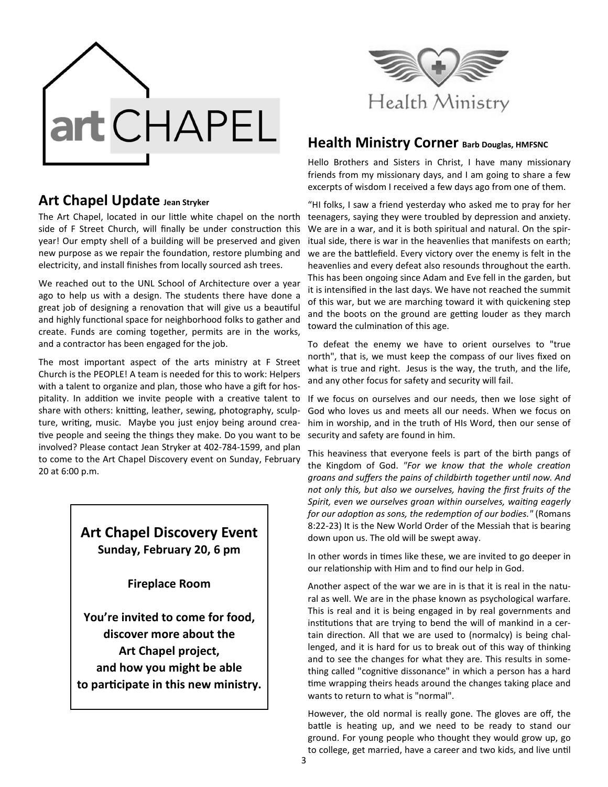



The Art Chapel, located in our little white chapel on the north side of F Street Church, will finally be under construction this year! Our empty shell of a building will be preserved and given new purpose as we repair the foundation, restore plumbing and electricity, and install finishes from locally sourced ash trees.

We reached out to the UNL School of Architecture over a year ago to help us with a design. The students there have done a great job of designing a renovation that will give us a beautiful and highly functional space for neighborhood folks to gather and create. Funds are coming together, permits are in the works, and a contractor has been engaged for the job.

The most important aspect of the arts ministry at F Street Church is the PEOPLE! A team is needed for this to work: Helpers with a talent to organize and plan, those who have a gift for hospitality. In addition we invite people with a creative talent to share with others: knitting, leather, sewing, photography, sculpture, writing, music. Maybe you just enjoy being around creative people and seeing the things they make. Do you want to be involved? Please contact Jean Stryker at 402-784-1599, and plan to come to the Art Chapel Discovery event on Sunday, February 20 at 6:00 p.m.

### **Art Chapel Discovery Event Sunday, February 20, 6 pm**

**Fireplace Room** 

**You're invited to come for food, discover more about the Art Chapel project, and how you might be able**  to participate in this new ministry.



#### **Health Ministry Corner Barb Douglas, HMFSNC**

Hello Brothers and Sisters in Christ, I have many missionary friends from my missionary days, and I am going to share a few excerpts of wisdom I received a few days ago from one of them.

"HI folks, I saw a friend yesterday who asked me to pray for her teenagers, saying they were troubled by depression and anxiety. We are in a war, and it is both spiritual and natural. On the spiritual side, there is war in the heavenlies that manifests on earth; we are the battlefield. Every victory over the enemy is felt in the heavenlies and every defeat also resounds throughout the earth. This has been ongoing since Adam and Eve fell in the garden, but it is intensified in the last days. We have not reached the summit of this war, but we are marching toward it with quickening step and the boots on the ground are getting louder as they march toward the culmination of this age.

To defeat the enemy we have to orient ourselves to "true north", that is, we must keep the compass of our lives fixed on what is true and right. Jesus is the way, the truth, and the life, and any other focus for safety and security will fail.

If we focus on ourselves and our needs, then we lose sight of God who loves us and meets all our needs. When we focus on him in worship, and in the truth of HIs Word, then our sense of security and safety are found in him.

This heaviness that everyone feels is part of the birth pangs of the Kingdom of God. "For we know that the whole creation groans and suffers the pains of childbirth together until now. And *not only this, but also we ourselves, having the first fruits of the*  Spirit, even we ourselves groan within ourselves, waiting eagerly *for our adoption as sons, the redemption of our bodies."* (Romans 8:22-23) It is the New World Order of the Messiah that is bearing down upon us. The old will be swept away.

In other words in times like these, we are invited to go deeper in our relationship with Him and to find our help in God.

Another aspect of the war we are in is that it is real in the natural as well. We are in the phase known as psychological warfare. This is real and it is being engaged in by real governments and institutions that are trying to bend the will of mankind in a certain direction. All that we are used to (normalcy) is being challenged, and it is hard for us to break out of this way of thinking and to see the changes for what they are. This results in something called "cognitive dissonance" in which a person has a hard time wrapping theirs heads around the changes taking place and wants to return to what is "normal".

However, the old normal is really gone. The gloves are off, the battle is heating up, and we need to be ready to stand our ground. For young people who thought they would grow up, go to college, get married, have a career and two kids, and live until